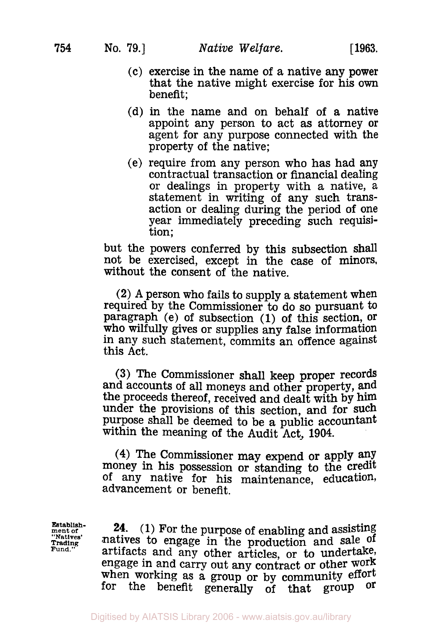- (c) exercise in the name of a native any power that the native might exercise for his own benefit;
- (a) in the name and on behalf **of** a native appoint any person to act as attorney or agent for any purpose connected with the property of the native;
- (e) require from any person who has had any contractual transaction or financial dealing or dealings in property with a native, a statement in writing of any such transaction or dealing during the period of one year immediately preceding such requisi-<br>tion;

but the powers conferred by this subsection shall not be exercised, except in the case of minors, without the consent of the native.

(2) A person who fails to supply a statement when required by the Commissioner **to** do so pursuant to paragraph (e) of subsection **(1) of** this section, Or who wilfully gives or supplies any false information in any such statement, commits an offence against this Act.

**(3)** The Commissioner shall keep proper records and accounts of all moneys and other property, and the proceeds thereof, received and dealt with by him under the provisions of this section, and for such purpose shall be deemed to be a public accountant within the meaning **of** the Audit Act, 1904.

**(4)** The Commissioner may expend or apply any money in his possession or standing to the credit **of** any native for his maintenance, education, advancement or benefit.

**Establish - ment of**  "Natives. **Trading Fund."** 

**24. (1)** For the purpose of enabling and assisting natives to engage in the production and sale of artifacts and any other articles, or to undertake, engage in and carry out any contract or other Work when working as a group or by community effort for the benefit generally of that group **Or**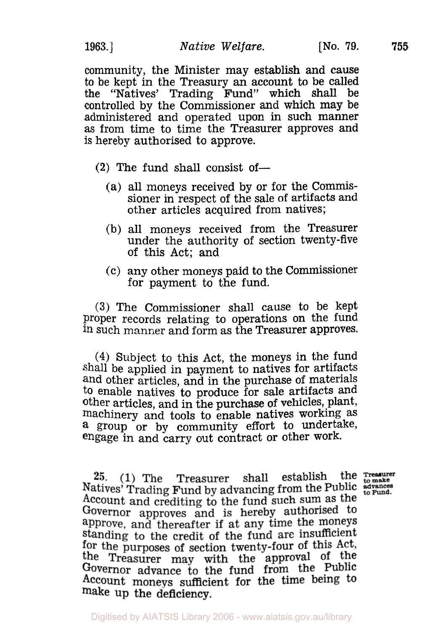community, the Minister may establish and cause to be kept in the Treasury an account to be called the "Natives' Trading Fund" which shall be controlled by the Commissioner and which may be administered and operated upon in such manner as from time to time the Treasurer approves and is hereby authorised to approve.

- $(2)$  The fund shall consist of-
	- (a) all moneys received by or for the Commissioner in respect of the sale of artifacts and other articles acquired from natives;
	- (b) all moneys received from the Treasurer under the authority of section twenty-five of this Act; and
	- (C) any other moneys paid to the Commissioner for payment to the fund.

**(3)** The Commissioner shall cause to be kept proper records relating to operations on the fund such manner and form as the Treasurer approves.

(4) Subject to this Act, the moneys in the fund shall be applied in payment to natives for artifacts and other articles, and in the purchase of materials to enable natives to produce for sale artifacts and other articles, and in the purchase of vehicles, plant, machinery and tools to enable natives working as **a** group or by community effort to undertake, engage in and carry out contract or other work.

25. (1) The Treasurer shall establish Natives' Trading Fund by advancing from the Public stranes Account and crediting to the fund such sum as the Governor approves and is hereby authorised to approve, and thereafter if at any time the moneys standing to the credit of the fund are insufficient for the purposes of section twenty-four of this Act, the Treasurer may with the approval of the Governor advance to the fund from the Public Account moneys sufficient for the time being to make up the deficiency.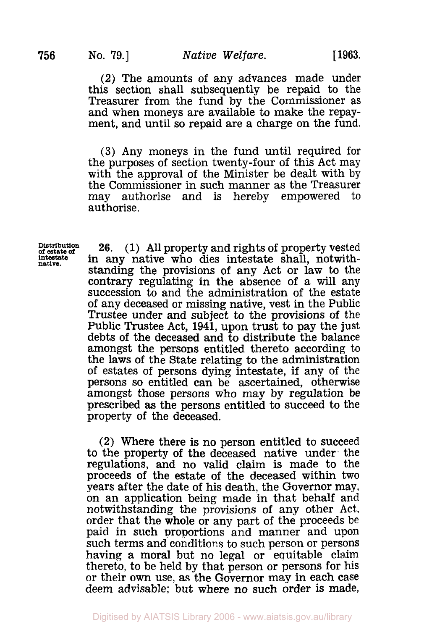## **No. 79.]** *Native Welfare.* [ **1963.**

**(2)** The amounts of any advances made under this section shall subsequently be repaid to the Treasurer from the fund by the Commissioner as and when moneys are available to make the repay- ment, and until so repaid are a charge on the fund.

**(3)** Any moneys in the fund until required for the purposes of section twenty-four of this Act may<br>with the approval of the Minister be dealt with by the Commissioner in such manner as the Treasurer may authorise and is hereby empowered to authorise.

**Distribution of estate** *of*  intestate **native.** 

**26. (1)** All property and rights of property vested in any native who dies intestate shall, notwithstanding the provisions of any Act or law to the contrary regulating in the absence of a will any succession to and the administration of the estate of any deceased or missing native, vest in the Public Trustee under and subject to the provisions of the Public Trustee Act, **1941,** upon trust to pay the just debts of the deceased and to distribute the balance amongst the persons entitled thereto according to the laws of the State relating to the administration of estates of persons dying intestate, if any of the persons so entitled can be ascertained, otherwise amongst those persons who may by regulation **be**  prescribed **as** the persons entitled to succeed to the property of the deceased.

**(2)** Where there is no person entitled to succeed to the property of the deceased native under- the regulations, and no valid claim is made to the proceeds of the estate of the deceased within two years after the date of his death, the Governor may, on an application being made in that behalf and notwithstanding the provisions of any other Act, order that the whole or any part of the proceeds be paid in such proportions and manner and upon such terms and conditions to such person or persons having a moral but no legal or equitable claim thereto, to be held by that person or persons for his or their own use, as the Governor **may** in each case deem advisable: but where no **such** order is made,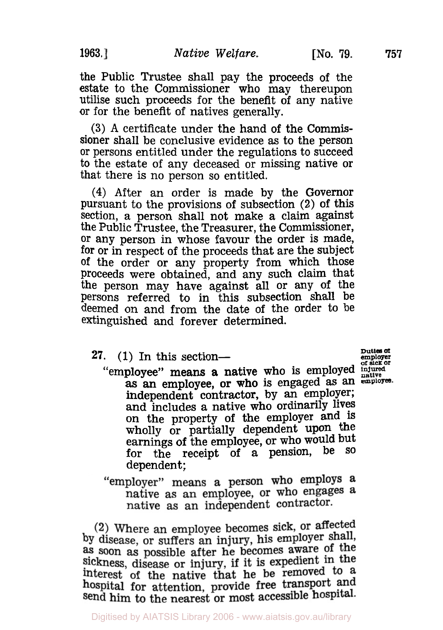the Public Trustee shall pay the proceeds of the utilise such proceeds for the benefit of any native or for the benefit of natives generally.

**(3) A** certificate under the hand of the Commissioner shall be conclusive evidence **as** to the person or persons entitled under the regulations to succeed to the estate of any deceased or missing native or that there is no person so entitled.

**(4)** After an order is made by the Governor pursuant to the provisions of subsection (2) of this section, a person shall not make a claim against the Public Trustee, the Treasurer, the Commissioner, or any person in whose favour the order is made, for or in respect of the proceeds that are the subject of the order or any property from which those proceeds were obtained, and any such claim that the person may have against all or any of the persons referred to in this subsection shall be deemed on and from the date of the order to be extinguished and forever determined.

- 27.  $(1)$  In this section-
	- "employee" means a native who is employed **or sick or**  as an employee, or who is engaged as an employee. independent contractor, by an employer; and includes a native who ordinarily lives on the property of the employer and **is**  wholly or partially dependent upon the earnings of the employee, or who would but<br>for the reggint of a pension, be so for the receipt of a pension, be dependent;
	- "employer" means a person who employs a native as an employee, or who engages a native as an independent contractor.

(2) Where an employee becomes sick, or affected by disease, or suffers an injury, his employer shall, as soon as possible after he becomes aware of the sickness, disease or injury, if it is expedient in the interest of the native that he be removed to a hospital for attention, provide free transport and send him to the nearest or most accessible hospital.

**Duties** *of*  **emplyer native**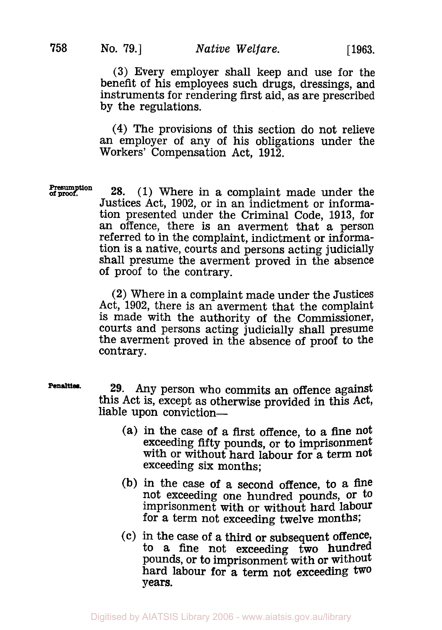(3) Every employer shall keep and use for the benefit of his employees such drugs, dressings, **and**  instruments for rendering first aid, as are prescribed by the regulations.

**(4)** The provisions of this section do not relieve an employer of any of his obligations under the Workers' Compensation Act, 1912.

**Presumption** 

**28.** (1) Where in a complaint made under the Justices Act, 1902, or in an indictment or information presented under the Criminal Code, 1913, for an offence, there is an averment that a person referred to in the complaint, indictment or information is a native, courts and persons acting judicially shall presume the averment proved in the absence of proof to the contrary.

(2) Where in a complaint made under the Justices Act, 1902, there is an averment that the complaint is made with the authority of the Commissioner, courts and persons acting judicially shall presume the averment proved in the absence of proof to the contrary.

**Penalties** 

**29.** Any person who commits an offence against this Act is, except as otherwise provided in this Act, liable upon conviction—

- (a) in the case of a first offence, to a fine not exceeding fifty pounds, or **to** imprisonment with or without hard labour for a term not exceeding six months;
- (b) in the case of a second offence, to a fine not exceeding one hundred pounds, or to imprisonment with or without hard labour for a term not exceeding twelve months;
- **(C)** in the case of a third or subsequent offence, to a fine not exceeding two hundred pounds, or to imprisonment with or without hard labour for a term not exceeding two years.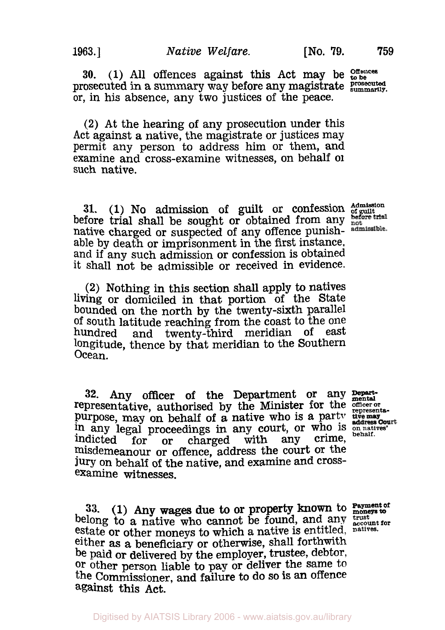**30.** (1) **All** offences against this Act may be **Offences to be**  prosecuted in a summary way before any magistrate **prosecuted** or, in his absence, any two justices of the peace.

**(2)** At the hearing of any prosecution under this permit any person to address him or them, and examine and cross-examine witnesses, on behalf **of**  such native.

**31.** (1) No admission of guilt or confession **Admission of guilt**  before trial shall be sought or obtained from any native charged or suspected of any offence punish-<br>able by death or imprisonment in the first instance, able by death or imprisonment in the first instance, and if any such admission or confession is obtained it shall not be admissible or received in evidence.

**(2)** Nothing in this section shall apply **to** natives living or domiciled in that portion of the State bounded on the north by the twenty-sixth parallel of south latitude reaching from the coast to the one hundred and twenty-third meridian of east longitude, thence by that meridian to the Southern Ocean.

32. Any officer of the Department or any **nepart**representative, authorised by the Minister for the officer or purpose, may on behalf of a native who is a party the may help any legal proceedings in any court, or who is anatives' Indicted for or charged with any crime, misdemeanour or offence, address the court **Or** the jury on behalf of the native, and examine and crossexamine witnesses.

**Payment of 33.** (1) Any wages due to or property known to **moneys to**  belong to a native who cannot be found, and any trust for estate or other moneys to which a native is entitled, **natives**either as **a** beneficiary or otherwise, shall forthwith be paid or delivered by the employer, trustee, debtor, **Or** other person liable to pay or deliver the same to the Commissioner, and failure to do so **is** an Offence against this Act.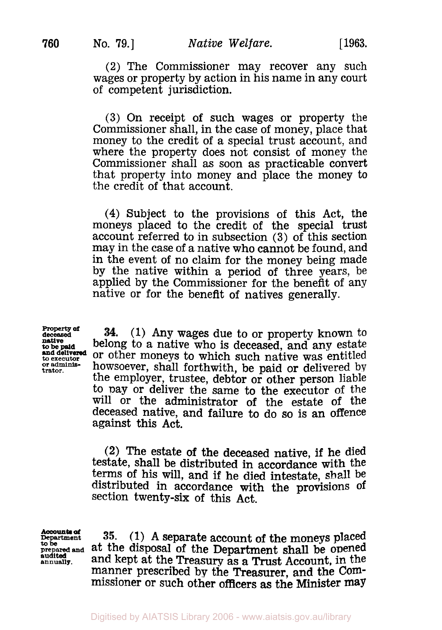(2) The Commissioner may recover any such wages or property by action in his name in any court of competent jurisdiction.

**(3)** On receipt of such wages or property the Commissioner shall, in the case of money, place that money to the credit of a special trust account, and where the property does not consist of money the Commissioner shall as soon as practicable convert that property into money and place the money to the credit of that account.

**(4)** Subject to the provisions of this Act, the moneys placed to the credit of the special trust account referred to in subsection **(3)** of this section may in the case of a native who cannot be found, and in the event of no claim for the money being made by the native within a period of three years, be applied by the Commissioner for the benefit of any native or for the benefit of natives generally.

**Property of**<br>deceased<br>**native and delivered** 

*Property of deceased* **(1)** Any wages due to or property known to **to be paid** belong to a native who is deceased, and any estate **and delivered** or other moneys to which such native was entitled<br>to executor howsoever shall forthwith he poid or delivered by *of administrator* howsoever, shall forthwith, be paid or delivered by the employer, trustee, debtor or other person liable to Day or deliver the same to the executor of the will or the administrator of the estate of the deceased native, and failure to do so is an offence against this Act. **34.** 

> **(2)** The estate of the deceased native, **if** he died testate, shall be distributed in accordance with the terms of his will, and if he died intestate, shall be distributed in accordance with the provisions of section twenty-six of this Act.

**Accounts of** 

**Department 35. (1)** A separate account of the moneys placed **to be prepared and** at the disposal of the Department shall be opened **and its and kept at the Treasury as a Trust Account, in the** manner prescribed by the Treasurer, and the Commissioner or such other officers **as** the Minister may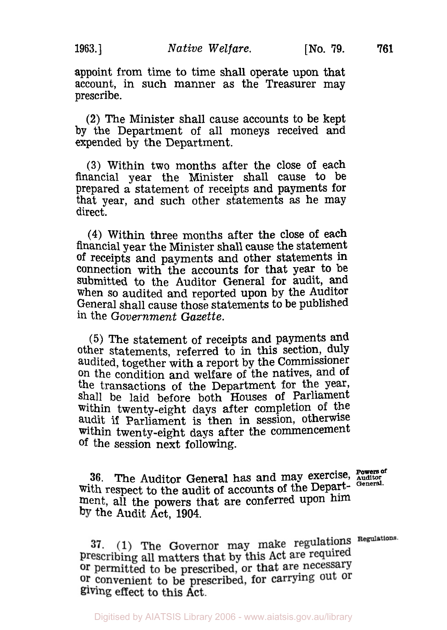appoint from time to time shall operate upon that account, in such manner as the Treasurer may prescribe.

(2) The Minister shall cause accounts to be kept by the Department of all moneys received and expended by the Department.

**(3)** Within two months after the close of each financial year the Minister shall cause to be prepared a statement of receipts and payments for that year, and such other statements as he may direct.

**(4)** Within three months after the close of each financial year the Minister shall cause the statement of receipts and payments and other statements **in**  connection with the accounts for that year to be submitted to the Auditor General for audit, and when so audited and reported upon by the Auditor General shall cause those statements to be published in the *Government Gazette.* 

**(5)** The statement of receipts and payments and other statements, referred to in this section, duly audited, together with a report by the Commissioner on the condition and welfare of the natives, and of the transactions of the Department for the year, shall be laid before both Houses of Parliament within twenty-eight days after completion of the audit if Parliament is then in session, otherwise within twenty-eight days after the commencement of the session next following.

**Powers of 36.** The Auditor General has and may exercise, **Auditor**  with respect to the audit of accounts of the Department, all the powers that are conferred upon him the Audit Act, **1904.** 

37.  $(1)$  The Governor may make regulations Regulations. prescribing all matters that by this Act are required or permitted to be prescribed, or that are necessary or convenient to be prescribed, for carrying out or giving effect to this Act.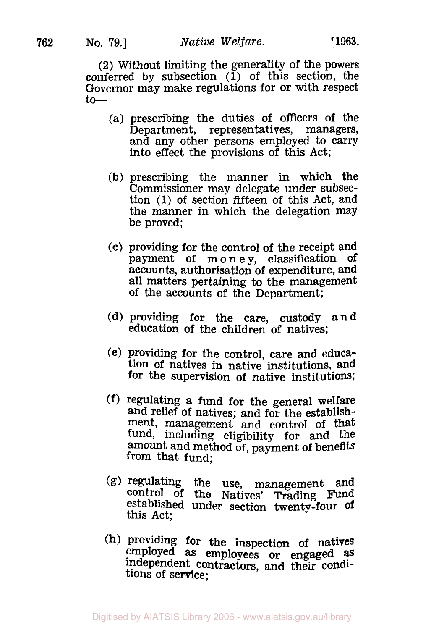(2) Without limiting the generality of the powers conferred by subsection  $(1)$  of this section, the Governor may make regulations for or with respect  $to-$ 

- (a) prescribing the duties of officers of the and any other persons employed to carry into effect the provisions of this Act;
- (b) prescribing the manner in which the Commissioner may delegate under subsection (1) of section fifteen of this Act, and the manner in which the delegation may be proved;
- (c) providing for the control of the receipt and payment of money, classification of accounts, authorisation of expenditure, and all matters pertaining to the management of the accounts of the Department;
- (d) providing for the care, custody and education of the children of natives;
- (e) providing for the control, care and education of natives in native institutions, and for the supervision of native institutions;
- (f) regulating a fund for the general Welfare and relief of natives; and for the establishment, management and control of that fund, including eligibility for and the amount and method of, payment of benefits from that fund;
- (g) regulating the use, management and control of the Natives' Trading Fund established under section twenty-four of this Act;
- (h) providing for the inspection **of** natives employed as employees or engaged *as*  independent contractors, and their conditions of service;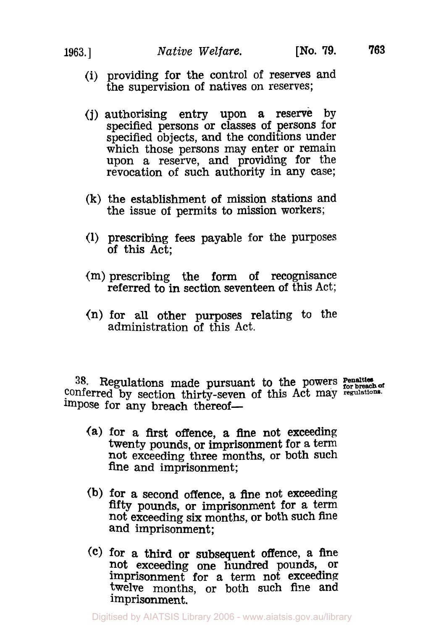- (i) providing for the control of reserves and the supervision of natives on reserves;
- **(j)** authorising entry upon a reserve by specified persons or classes of persons for specified objects, and the conditions under which those persons may enter or remain upon a reserve, and providing for the revocation of such authority in any case;
- **(k)** the establishment of mission stations and the issue of permits to mission workers;
- (1) prescribing fees payable for the purposes of this Act;
- (m) prescribing the form of recognisance referred to in section seventeen of this Act;
- **(n)** for all other purposes relating to the administration of this Act.

**38.** Regulations made **Penalties** pursuant to the powers **for breach Of**  conferred by section thirty-seven of this Act may **regulations.**  impose for any breach thereof-

- (a) for a first offence, a fine not exceeding twenty pounds, or imprisonment for **a** term not exceeding three months, or both such fine and imprisonment;
- (b) for a second offence, a fine not exceeding fifty pounds, or imprisonment for a term not exceeding six months, or both such fine and imprisonment;
- **(C)** for a third or subsequent offence, **a** fhe not exceeding one hundred pounds, or imprisonment for a term not exceeding twelve months, or both such fine and twelve months, or both such fine and imprisonment.

Digitised by AIATSIS Library 2006 - www.aiatsis.gov.au/library